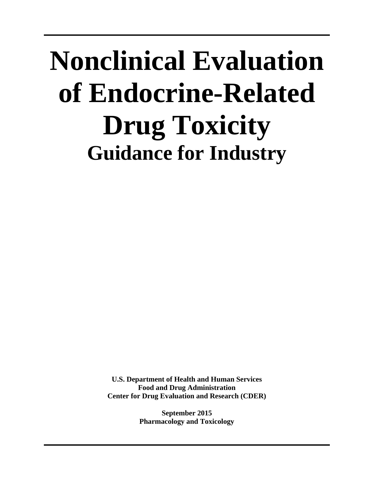# **Nonclinical Evaluation of Endocrine-Related Drug Toxicity Guidance for Industry**

**U.S. Department of Health and Human Services Food and Drug Administration Center for Drug Evaluation and Research (CDER)**

> **September 2015 Pharmacology and Toxicology**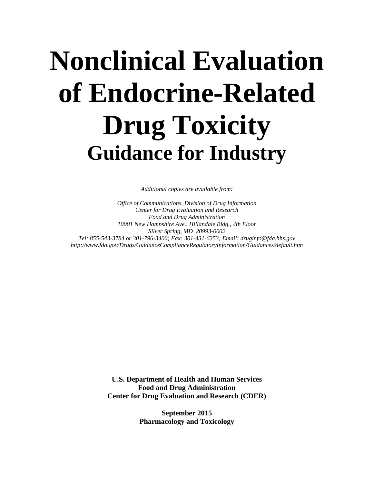# **Nonclinical Evaluation of Endocrine-Related Drug Toxicity Guidance for Industry**

*Additional copies are available from:* 

 *10001 New Hampshire Ave., Hillandale Bldg., 4th Floor Office of Communications, Division of Drug Information Center for Drug Evaluation and Research Food and Drug Administration Silver Spring, MD 20993-0002 Tel: 855-543-3784 or 301-796-3400; Fax: 301-431-6353; Email: druginfo@fda.hhs.gov http://www.fda.gov/Drugs/GuidanceComplianceRegulatoryInformation/Guidances/default.htm* 

> **U.S. Department of Health and Human Services Food and Drug Administration Center for Drug Evaluation and Research (CDER)**

> > **September 2015 Pharmacology and Toxicology**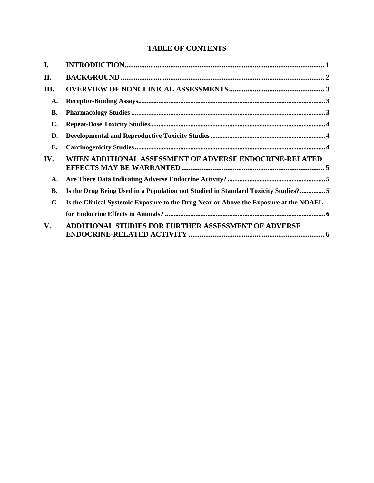## **TABLE OF CONTENTS**

| I.             |                                                                                       |  |
|----------------|---------------------------------------------------------------------------------------|--|
| II.            |                                                                                       |  |
| III.           |                                                                                       |  |
| A.             |                                                                                       |  |
| <b>B.</b>      |                                                                                       |  |
| C.             |                                                                                       |  |
| D.             |                                                                                       |  |
| Е.             |                                                                                       |  |
| IV.            | WHEN ADDITIONAL ASSESSMENT OF ADVERSE ENDOCRINE-RELATED                               |  |
| A.             |                                                                                       |  |
| <b>B.</b>      | Is the Drug Being Used in a Population not Studied in Standard Toxicity Studies?5     |  |
| $\mathbf{C}$ . | Is the Clinical Systemic Exposure to the Drug Near or Above the Exposure at the NOAEL |  |
|                |                                                                                       |  |
| V.             | <b>ADDITIONAL STUDIES FOR FURTHER ASSESSMENT OF ADVERSE</b>                           |  |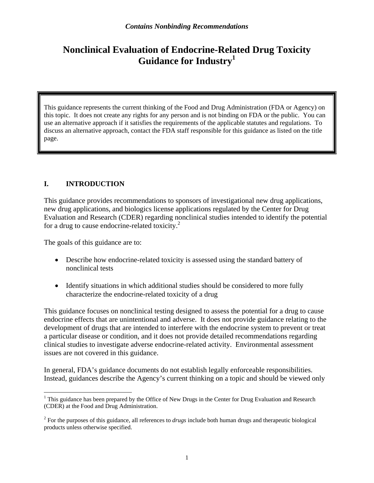## <span id="page-3-0"></span>**Nonclinical Evaluation of Endocrine-Related Drug Toxicity Guidance for Industry1**

This guidance represents the current thinking of the Food and Drug Administration (FDA or Agency) on this topic. It does not create any rights for any person and is not binding on FDA or the public. You can use an alternative approach if it satisfies the requirements of the applicable statutes and regulations. To discuss an alternative approach, contact the FDA staff responsible for this guidance as listed on the title page.

#### **I. INTRODUCTION**

for a drug to cause endocrine-related toxicity.<sup>2</sup> This guidance provides recommendations to sponsors of investigational new drug applications, new drug applications, and biologics license applications regulated by the Center for Drug Evaluation and Research (CDER) regarding nonclinical studies intended to identify the potential

The goals of this guidance are to:

- Describe how endocrine-related toxicity is assessed using the standard battery of nonclinical tests
- Identify situations in which additional studies should be considered to more fully characterize the endocrine-related toxicity of a drug

This guidance focuses on nonclinical testing designed to assess the potential for a drug to cause endocrine effects that are unintentional and adverse. It does not provide guidance relating to the development of drugs that are intended to interfere with the endocrine system to prevent or treat a particular disease or condition, and it does not provide detailed recommendations regarding clinical studies to investigate adverse endocrine-related activity. Environmental assessment issues are not covered in this guidance.

In general, FDA's guidance documents do not establish legally enforceable responsibilities. Instead, guidances describe the Agency's current thinking on a topic and should be viewed only

 $\overline{a}$ <sup>1</sup> This guidance has been prepared by the Office of New Drugs in the Center for Drug Evaluation and Research (CDER) at the Food and Drug Administration.

<sup>2</sup> For the purposes of this guidance, all references to *drugs* include both human drugs and therapeutic biological products unless otherwise specified.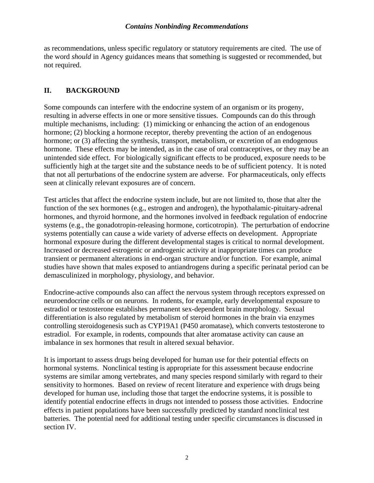<span id="page-4-0"></span>as recommendations, unless specific regulatory or statutory requirements are cited. The use of the word *should* in Agency guidances means that something is suggested or recommended, but not required.

#### **II. BACKGROUND**

Some compounds can interfere with the endocrine system of an organism or its progeny, resulting in adverse effects in one or more sensitive tissues. Compounds can do this through multiple mechanisms, including: (1) mimicking or enhancing the action of an endogenous hormone; (2) blocking a hormone receptor, thereby preventing the action of an endogenous hormone; or (3) affecting the synthesis, transport, metabolism, or excretion of an endogenous hormone. These effects may be intended, as in the case of oral contraceptives, or they may be an unintended side effect. For biologically significant effects to be produced, exposure needs to be sufficiently high at the target site and the substance needs to be of sufficient potency. It is noted that not all perturbations of the endocrine system are adverse. For pharmaceuticals, only effects seen at clinically relevant exposures are of concern.

Test articles that affect the endocrine system include, but are not limited to, those that alter the function of the sex hormones (e.g., estrogen and androgen), the hypothalamic-pituitary-adrenal hormones, and thyroid hormone, and the hormones involved in feedback regulation of endocrine systems (e.g., the gonadotropin-releasing hormone, corticotropin). The perturbation of endocrine systems potentially can cause a wide variety of adverse effects on development. Appropriate hormonal exposure during the different developmental stages is critical to normal development. Increased or decreased estrogenic or androgenic activity at inappropriate times can produce transient or permanent alterations in end-organ structure and/or function. For example, animal studies have shown that males exposed to antiandrogens during a specific perinatal period can be demasculinized in morphology, physiology, and behavior.

Endocrine-active compounds also can affect the nervous system through receptors expressed on neuroendocrine cells or on neurons. In rodents, for example, early developmental exposure to estradiol or testosterone establishes permanent sex-dependent brain morphology. Sexual differentiation is also regulated by metabolism of steroid hormones in the brain via enzymes controlling steroidogenesis such as CYP19A1 (P450 aromatase), which converts testosterone to estradiol. For example, in rodents, compounds that alter aromatase activity can cause an imbalance in sex hormones that result in altered sexual behavior.

It is important to assess drugs being developed for human use for their potential effects on hormonal systems. Nonclinical testing is appropriate for this assessment because endocrine systems are similar among vertebrates, and many species respond similarly with regard to their sensitivity to hormones. Based on review of recent literature and experience with drugs being developed for human use, including those that target the endocrine systems, it is possible to identify potential endocrine effects in drugs not intended to possess those activities. Endocrine effects in patient populations have been successfully predicted by standard nonclinical test batteries. The potential need for additional testing under specific circumstances is discussed in section IV.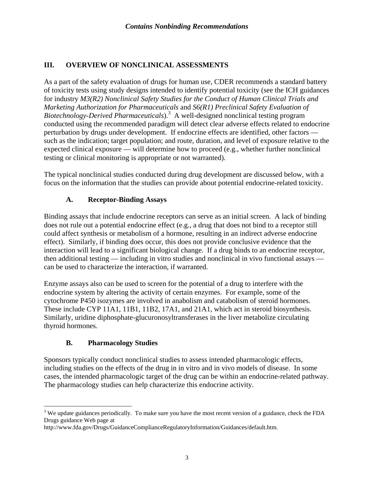#### <span id="page-5-0"></span>**III. OVERVIEW OF NONCLINICAL ASSESSMENTS**

As a part of the safety evaluation of drugs for human use, CDER recommends a standard battery of toxicity tests using study designs intended to identify potential toxicity (see the ICH guidances for industry *M3(R2) Nonclinical Safety Studies for the Conduct of Human Clinical Trials and Marketing Authorization for Pharmaceuticals* and *S6(R1) Preclinical Safety Evaluation of*  Biotechnology-Derived Pharmaceuticals).<sup>3</sup> A well-designed nonclinical testing program conducted using the recommended paradigm will detect clear adverse effects related to endocrine perturbation by drugs under development. If endocrine effects are identified, other factors such as the indication; target population; and route, duration, and level of exposure relative to the expected clinical exposure — will determine how to proceed (e.g., whether further nonclinical testing or clinical monitoring is appropriate or not warranted).

The typical nonclinical studies conducted during drug development are discussed below, with a focus on the information that the studies can provide about potential endocrine-related toxicity.

### **A. Receptor-Binding Assays**

Binding assays that include endocrine receptors can serve as an initial screen. A lack of binding does not rule out a potential endocrine effect (e.g., a drug that does not bind to a receptor still could affect synthesis or metabolism of a hormone, resulting in an indirect adverse endocrine effect). Similarly, if binding does occur, this does not provide conclusive evidence that the interaction will lead to a significant biological change. If a drug binds to an endocrine receptor, then additional testing — including in vitro studies and nonclinical in vivo functional assays can be used to characterize the interaction, if warranted.

Enzyme assays also can be used to screen for the potential of a drug to interfere with the endocrine system by altering the activity of certain enzymes. For example, some of the cytochrome P450 isozymes are involved in anabolism and catabolism of steroid hormones. These include CYP 11A1, 11B1, 11B2, 17A1, and 21A1, which act in steroid biosynthesis. Similarly, uridine diphosphate-glucuronosyltransferases in the liver metabolize circulating thyroid hormones.

#### **B. Pharmacology Studies**

 $\overline{a}$ 

Sponsors typically conduct nonclinical studies to assess intended pharmacologic effects, including studies on the effects of the drug in in vitro and in vivo models of disease. In some cases, the intended pharmacologic target of the drug can be within an endocrine-related pathway. The pharmacology studies can help characterize this endocrine activity.

 $3$  We update guidances periodically. To make sure you have the most recent version of a guidance, check the FDA Drugs guidance Web page at

http://www.fda.gov/Drugs/GuidanceComplianceRegulatoryInformation/Guidances/default.htm.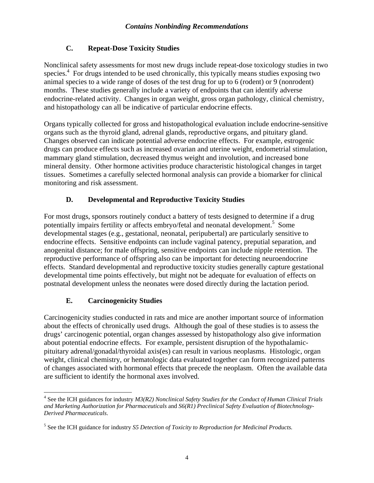## **C. Repeat-Dose Toxicity Studies**

<span id="page-6-0"></span>Nonclinical safety assessments for most new drugs include repeat-dose toxicology studies in two species.<sup>4</sup> For drugs intended to be used chronically, this typically means studies exposing two animal species to a wide range of doses of the test drug for up to 6 (rodent) or 9 (nonrodent) months. These studies generally include a variety of endpoints that can identify adverse endocrine-related activity. Changes in organ weight, gross organ pathology, clinical chemistry, and histopathology can all be indicative of particular endocrine effects.

Organs typically collected for gross and histopathological evaluation include endocrine-sensitive organs such as the thyroid gland, adrenal glands, reproductive organs, and pituitary gland. Changes observed can indicate potential adverse endocrine effects. For example, estrogenic drugs can produce effects such as increased ovarian and uterine weight, endometrial stimulation, mammary gland stimulation, decreased thymus weight and involution, and increased bone mineral density. Other hormone activities produce characteristic histological changes in target tissues. Sometimes a carefully selected hormonal analysis can provide a biomarker for clinical monitoring and risk assessment.

## **D. Developmental and Reproductive Toxicity Studies**

For most drugs, sponsors routinely conduct a battery of tests designed to determine if a drug potentially impairs fertility or affects embryo/fetal and neonatal development.<sup>5</sup> Some developmental stages (e.g., gestational, neonatal, peripubertal) are particularly sensitive to endocrine effects. Sensitive endpoints can include vaginal patency, preputial separation, and anogenital distance; for male offspring, sensitive endpoints can include nipple retention. The reproductive performance of offspring also can be important for detecting neuroendocrine effects. Standard developmental and reproductive toxicity studies generally capture gestational developmental time points effectively, but might not be adequate for evaluation of effects on postnatal development unless the neonates were dosed directly during the lactation period.

## **E. Carcinogenicity Studies**

Carcinogenicity studies conducted in rats and mice are another important source of information about the effects of chronically used drugs. Although the goal of these studies is to assess the drugs' carcinogenic potential, organ changes assessed by histopathology also give information about potential endocrine effects. For example, persistent disruption of the hypothalamicpituitary adrenal/gonadal/thyroidal axis(es) can result in various neoplasms. Histologic, organ weight, clinical chemistry, or hematologic data evaluated together can form recognized patterns of changes associated with hormonal effects that precede the neoplasm. Often the available data are sufficient to identify the hormonal axes involved.

 $\overline{a}$ 4 See the ICH guidances for industry *M3(R2) Nonclinical Safety Studies for the Conduct of Human Clinical Trials and Marketing Authorization for Pharmaceuticals* and *S6(R1) Preclinical Safety Evaluation of Biotechnology-Derived Pharmaceuticals*.

<sup>5</sup> See the ICH guidance for industry *S5 Detection of Toxicity to Reproduction for Medicinal Products.*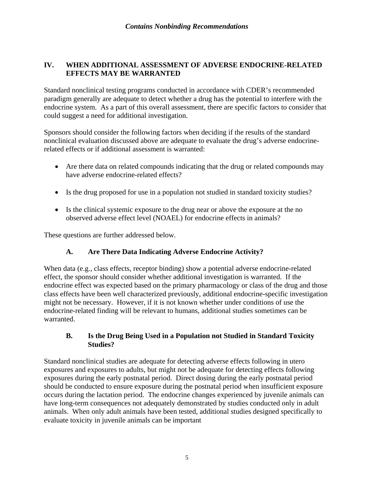#### <span id="page-7-0"></span>**IV. WHEN ADDITIONAL ASSESSMENT OF ADVERSE ENDOCRINE-RELATED EFFECTS MAY BE WARRANTED**

Standard nonclinical testing programs conducted in accordance with CDER's recommended paradigm generally are adequate to detect whether a drug has the potential to interfere with the endocrine system. As a part of this overall assessment, there are specific factors to consider that could suggest a need for additional investigation.

Sponsors should consider the following factors when deciding if the results of the standard nonclinical evaluation discussed above are adequate to evaluate the drug's adverse endocrinerelated effects or if additional assessment is warranted:

- Are there data on related compounds indicating that the drug or related compounds may have adverse endocrine-related effects?
- Is the drug proposed for use in a population not studied in standard toxicity studies?
- observed adverse effect level (NOAEL) for endocrine effects in animals? Is the clinical systemic exposure to the drug near or above the exposure at the no

These questions are further addressed below.

#### **A. Are There Data Indicating Adverse Endocrine Activity?**

When data (e.g., class effects, receptor binding) show a potential adverse endocrine-related effect, the sponsor should consider whether additional investigation is warranted. If the endocrine effect was expected based on the primary pharmacology or class of the drug and those class effects have been well characterized previously, additional endocrine-specific investigation might not be necessary. However, if it is not known whether under conditions of use the endocrine-related finding will be relevant to humans, additional studies sometimes can be warranted.

#### **B. Is the Drug Being Used in a Population not Studied in Standard Toxicity Studies?**

evaluate toxicity in juvenile animals can be important  $\frac{5}{5}$ Standard nonclinical studies are adequate for detecting adverse effects following in utero exposures and exposures to adults, but might not be adequate for detecting effects following exposures during the early postnatal period. Direct dosing during the early postnatal period should be conducted to ensure exposure during the postnatal period when insufficient exposure occurs during the lactation period. The endocrine changes experienced by juvenile animals can have long-term consequences not adequately demonstrated by studies conducted only in adult animals. When only adult animals have been tested, additional studies designed specifically to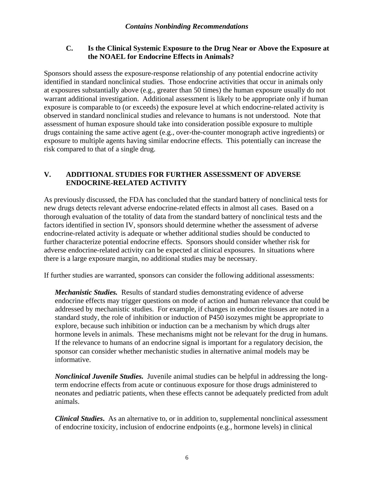#### <span id="page-8-0"></span>**C. Is the Clinical Systemic Exposure to the Drug Near or Above the Exposure at the NOAEL for Endocrine Effects in Animals?**

Sponsors should assess the exposure-response relationship of any potential endocrine activity identified in standard nonclinical studies. Those endocrine activities that occur in animals only at exposures substantially above (e.g., greater than 50 times) the human exposure usually do not warrant additional investigation. Additional assessment is likely to be appropriate only if human exposure is comparable to (or exceeds) the exposure level at which endocrine-related activity is observed in standard nonclinical studies and relevance to humans is not understood. Note that assessment of human exposure should take into consideration possible exposure to multiple drugs containing the same active agent (e.g., over-the-counter monograph active ingredients) or exposure to multiple agents having similar endocrine effects. This potentially can increase the risk compared to that of a single drug.

#### **V. ADDITIONAL STUDIES FOR FURTHER ASSESSMENT OF ADVERSE ENDOCRINE-RELATED ACTIVITY**

As previously discussed, the FDA has concluded that the standard battery of nonclinical tests for new drugs detects relevant adverse endocrine-related effects in almost all cases. Based on a thorough evaluation of the totality of data from the standard battery of nonclinical tests and the factors identified in section IV, sponsors should determine whether the assessment of adverse endocrine-related activity is adequate or whether additional studies should be conducted to further characterize potential endocrine effects. Sponsors should consider whether risk for adverse endocrine-related activity can be expected at clinical exposures. In situations where there is a large exposure margin, no additional studies may be necessary.

If further studies are warranted, sponsors can consider the following additional assessments:

*Mechanistic Studies.* Results of standard studies demonstrating evidence of adverse endocrine effects may trigger questions on mode of action and human relevance that could be addressed by mechanistic studies. For example, if changes in endocrine tissues are noted in a standard study, the role of inhibition or induction of P450 isozymes might be appropriate to explore, because such inhibition or induction can be a mechanism by which drugs alter hormone levels in animals. These mechanisms might not be relevant for the drug in humans. If the relevance to humans of an endocrine signal is important for a regulatory decision, the sponsor can consider whether mechanistic studies in alternative animal models may be informative.

*Nonclinical Juvenile Studies.* Juvenile animal studies can be helpful in addressing the longterm endocrine effects from acute or continuous exposure for those drugs administered to neonates and pediatric patients, when these effects cannot be adequately predicted from adult animals.

*Clinical Studies***.** As an alternative to, or in addition to, supplemental nonclinical assessment of endocrine toxicity, inclusion of endocrine endpoints (e.g., hormone levels) in clinical